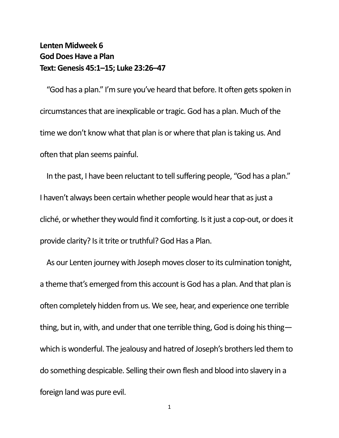## **Lenten Midweek 6 God Does Have a Plan Text: Genesis 45:1–15; Luke 23:26–47**

"God has a plan." I'm sure you've heard that before. It often gets spoken in circumstances that are inexplicable or tragic. God has a plan. Much of the time we don't know what that plan is or where that plan is taking us. And often that plan seems painful.

In the past, I have been reluctant to tell suffering people, "God has a plan." I haven't always been certain whether people would hear that as just a cliché, or whether they would find it comforting. Is it just a cop-out, or does it provide clarity? Is it trite or truthful? God Has a Plan.

As our Lenten journey with Joseph moves closer to its culmination tonight, a theme that's emerged from this account is God has a plan. And that plan is often completely hidden from us. We see, hear, and experience one terrible thing, but in, with, and under that one terrible thing, God is doing his thing which is wonderful. The jealousy and hatred of Joseph's brothers led them to do something despicable. Selling their own flesh and blood into slavery in a foreign land was pure evil.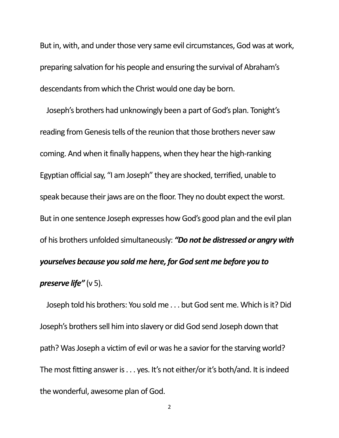But in, with, and under those very same evil circumstances, God was at work, preparing salvation for his people and ensuring the survival of Abraham's descendants from which the Christ would one day be born.

Joseph's brothers had unknowingly been a part of God's plan. Tonight's reading from Genesis tells of the reunion that those brothers never saw coming. And when it finally happens, when they hear the high-ranking Egyptian official say, "I am Joseph" they are shocked, terrified, unable to speak because their jaws are on the floor. They no doubt expect the worst. But in one sentence Joseph expresses how God's good plan and the evil plan of his brothers unfolded simultaneously: *"Do not be distressed or angry with yourselves because you sold me here, for God sent me before you to preserve life"* (v 5).

Joseph told his brothers: You sold me . . . but God sent me. Which is it? Did Joseph's brothers sell him into slavery or did God send Joseph down that path? Was Joseph a victim of evil or was he a savior for the starving world? The most fitting answer is . . . yes. It's not either/or it's both/and. It is indeed the wonderful, awesome plan of God.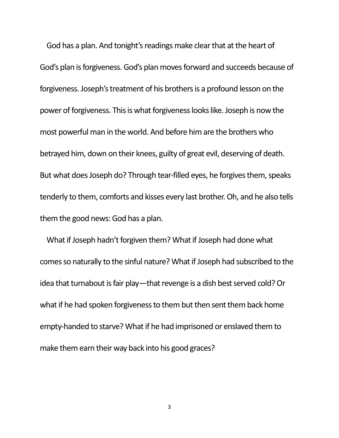God has a plan. And tonight's readings make clear that at the heart of God's plan is forgiveness. God's plan moves forward and succeeds because of forgiveness. Joseph's treatment of his brothers is a profound lesson on the power of forgiveness. This is what forgiveness looks like. Joseph is now the most powerful man in the world. And before him are the brothers who betrayed him, down on their knees, guilty of great evil, deserving of death. But what does Joseph do? Through tear-filled eyes, he forgives them, speaks tenderly to them, comforts and kisses every last brother. Oh, and he also tells them the good news: God has a plan.

What if Joseph hadn't forgiven them? What if Joseph had done what comes so naturally to the sinful nature? What if Joseph had subscribed to the idea that turnabout is fair play—that revenge is a dish best served cold? Or what if he had spoken forgiveness to them but then sent them back home empty-handed to starve? What if he had imprisoned or enslaved them to make them earn their way back into his good graces?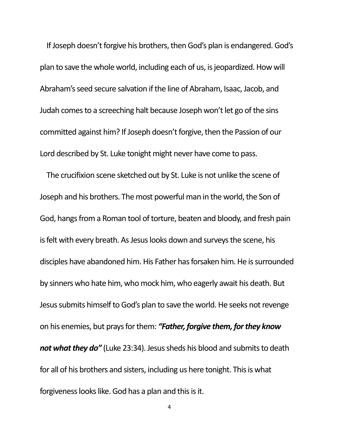If Joseph doesn't forgive his brothers, then God's plan is endangered. God's plan to save the whole world, including each of us, is jeopardized. How will Abraham's seed secure salvation if the line of Abraham, Isaac, Jacob, and Judah comes to a screeching halt because Joseph won't let go of the sins committed against him? If Joseph doesn't forgive, then the Passion of our Lord described by St. Luke tonight might never have come to pass.

The crucifixion scene sketched out by St. Luke is not unlike the scene of Joseph and his brothers. The most powerful man in the world, the Son of God, hangs from a Roman tool of torture, beaten and bloody, and fresh pain is felt with every breath. As Jesus looks down and surveys the scene, his disciples have abandoned him. His Father has forsaken him. He is surrounded by sinners who hate him, who mock him, who eagerly await his death. But Jesus submits himself to God's plan to save the world. He seeks not revenge on his enemies, but prays for them: *"Father, forgive them, for they know not what they do"* (Luke 23:34). Jesus sheds his blood and submits to death for all of his brothers and sisters, including us here tonight. This is what forgiveness looks like. God has a plan and this is it.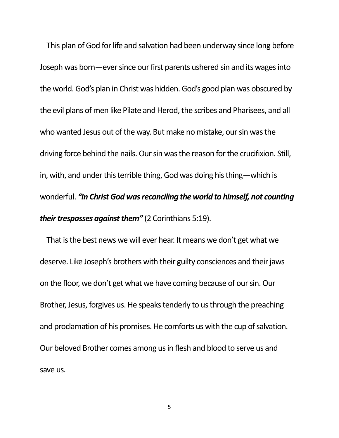This plan of God for life and salvation had been underway since long before Joseph was born—ever since our first parents ushered sin and its wages into the world. God's plan in Christ was hidden. God's good plan was obscured by the evil plans of men like Pilate and Herod, the scribes and Pharisees, and all who wanted Jesus out of the way. But make no mistake, our sin was the driving force behind the nails. Our sin was the reason for the crucifixion. Still, in, with, and under this terrible thing, God was doing his thing—which is wonderful. *"In Christ God was reconciling the world to himself, not counting their trespasses against them"* (2 Corinthians 5:19).

That is the best news we will ever hear. It means we don't get what we deserve. Like Joseph's brothers with their guilty consciences and their jaws on the floor, we don't get what we have coming because of our sin. Our Brother, Jesus, forgives us. He speaks tenderly to us through the preaching and proclamation of his promises. He comforts us with the cup of salvation. Our beloved Brother comes among us in flesh and blood to serve us and save us.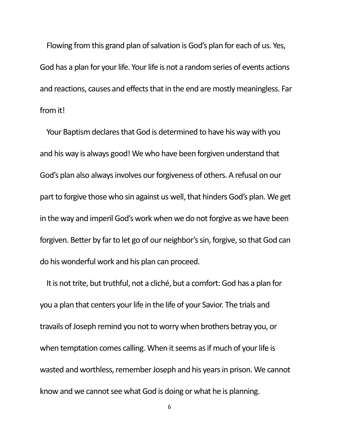Flowing from this grand plan of salvation is God's plan for each of us. Yes, God has a plan for your life. Your life is not a random series of events actions and reactions, causes and effects that in the end are mostly meaningless. Far from it!

Your Baptism declares that God is determined to have his way with you and his way is always good! We who have been forgiven understand that God's plan also always involves our forgiveness of others. A refusal on our part to forgive those who sin against us well, that hinders God's plan. We get in the way and imperil God's work when we do not forgive as we have been forgiven. Better by far to let go of our neighbor's sin, forgive, so that God can do his wonderful work and his plan can proceed.

It is not trite, but truthful, not a cliché, but a comfort: God has a plan for you a plan that centers your life in the life of your Savior. The trials and travails of Joseph remind you not to worry when brothers betray you, or when temptation comes calling. When it seems as if much of your life is wasted and worthless, remember Joseph and his years in prison. We cannot know and we cannot see what God is doing or what he is planning.